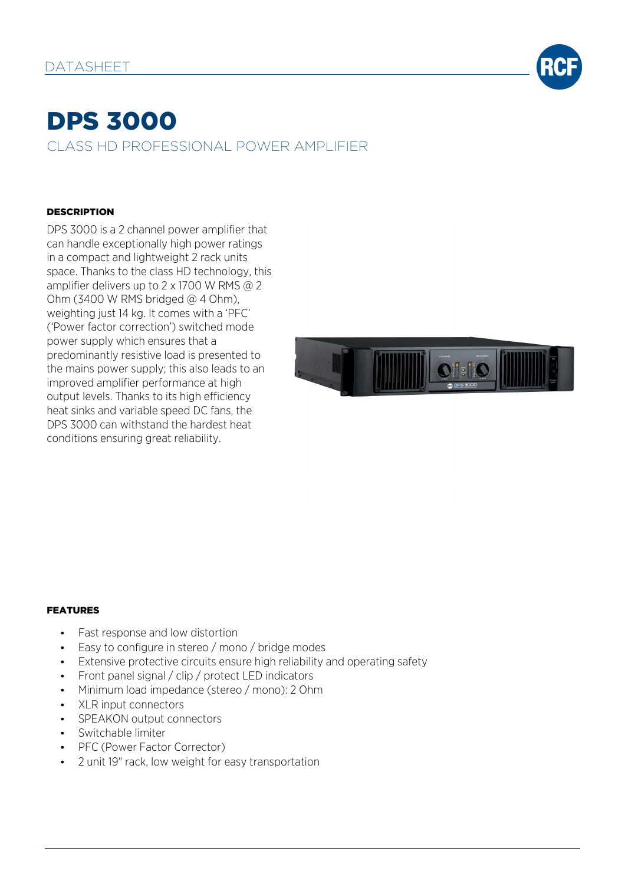

# DPS 3000 CLASS HD PROFESSIONAL POWER AMPLIFIER

### DESCRIPTION

DPS 3000 is a 2 channel power amplifier that can handle exceptionally high power ratings in a compact and lightweight 2 rack units space. Thanks to the class HD technology, this amplifier delivers up to 2 x 1700 W RMS @ 2 Ohm (3400 W RMS bridged  $@$  4 Ohm), weighting just 14 kg. It comes with a 'PFC' ('Power factor correction') switched mode power supply which ensures that a predominantly resistive load is presented to the mains power supply; this also leads to an improved amplifier performance at high output levels. Thanks to its high efficiency heat sinks and variable speed DC fans, the DPS 3000 can withstand the hardest heat conditions ensuring great reliability.



#### FEATURES

- Fast response and low distortion
- Easy to configure in stereo / mono / bridge modes
- Extensive protective circuits ensure high reliability and operating safety
- Front panel signal / clip / protect LED indicators
- Minimum load impedance (stereo / mono): 2 Ohm
- XLR input connectors
- SPEAKON output connectors
- Switchable limiter
- PFC (Power Factor Corrector)
- 2 unit 19" rack, low weight for easy transportation